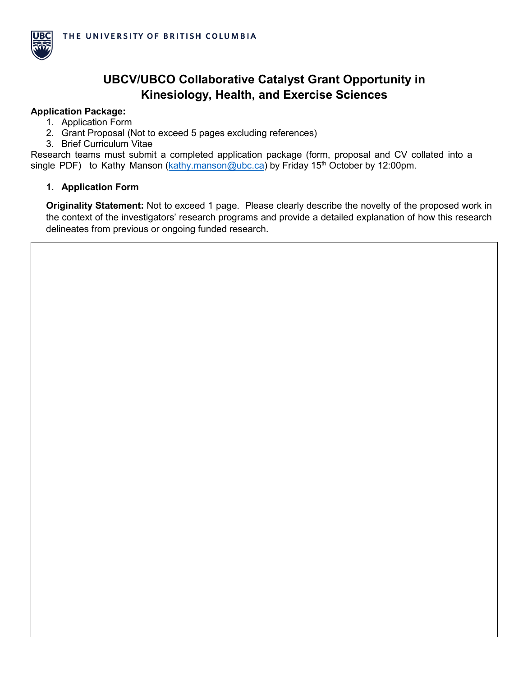

# **UBCV/UBCO Collaborative Catalyst Grant Opportunity in Kinesiology, Health, and Exercise Sciences**

#### **Application Package:**

- 1. Application Form
- 2. Grant Proposal (Not to exceed 5 pages excluding references)
- 3. Brief Curriculum Vitae

Research teams must submit a completed application package (form, proposal and CV collated into a single PDF) to Kathy Manson [\(kathy.manson@ubc.ca\)](mailto:kathy.manson@ubc.ca) by Friday 15<sup>th</sup> October by 12:00pm.

### **1. Application Form**

**Originality Statement:** Not to exceed 1 page. Please clearly describe the novelty of the proposed work in the context of the investigators' research programs and provide a detailed explanation of how this research delineates from previous or ongoing funded research.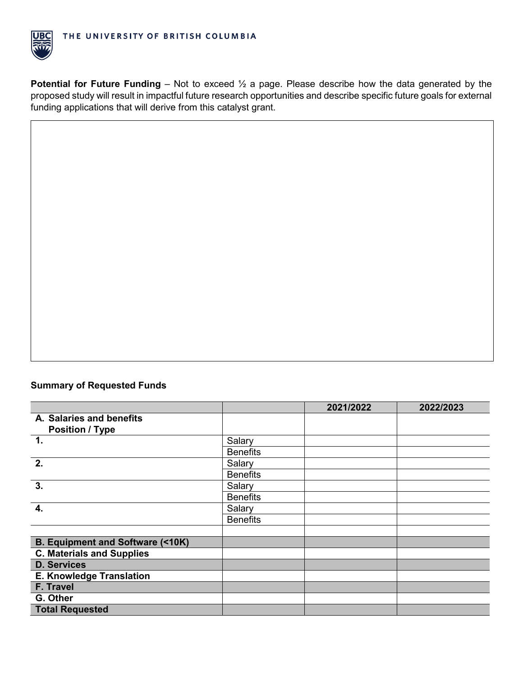

**Potential for Future Funding** – Not to exceed  $\frac{1}{2}$  a page. Please describe how the data generated by the proposed study will result in impactful future research opportunities and describe specific future goals for external funding applications that will derive from this catalyst grant.

## **Summary of Requested Funds**

|                                            |                 | 2021/2022 | 2022/2023 |
|--------------------------------------------|-----------------|-----------|-----------|
| A. Salaries and benefits                   |                 |           |           |
| <b>Position / Type</b>                     |                 |           |           |
| $\mathbf{1}$ .                             | Salary          |           |           |
|                                            | <b>Benefits</b> |           |           |
| $\overline{2}$ .                           | Salary          |           |           |
|                                            | <b>Benefits</b> |           |           |
| $\overline{3}$ .                           | Salary          |           |           |
|                                            | <b>Benefits</b> |           |           |
| 4.                                         | Salary          |           |           |
|                                            | <b>Benefits</b> |           |           |
|                                            |                 |           |           |
| <b>B. Equipment and Software (&lt;10K)</b> |                 |           |           |
| <b>C. Materials and Supplies</b>           |                 |           |           |
| <b>D. Services</b>                         |                 |           |           |
| <b>E. Knowledge Translation</b>            |                 |           |           |
| F. Travel                                  |                 |           |           |
| G. Other                                   |                 |           |           |
| <b>Total Requested</b>                     |                 |           |           |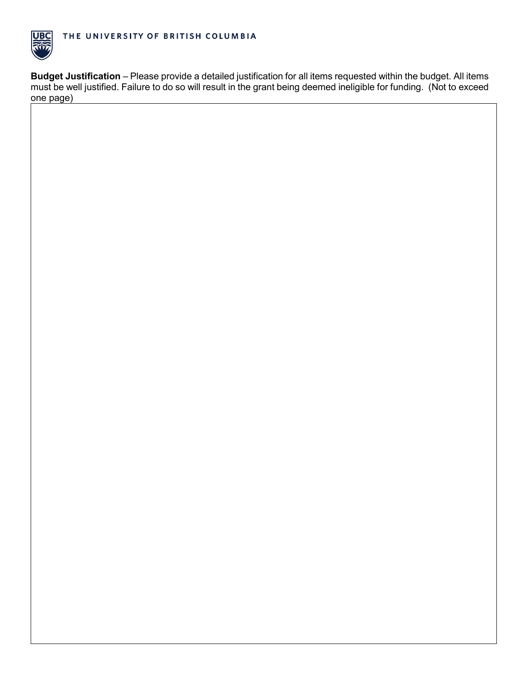

**Budget Justification** – Please provide a detailed justification for all items requested within the budget. All items must be well justified. Failure to do so will result in the grant being deemed ineligible for funding. (Not to exceed one page)